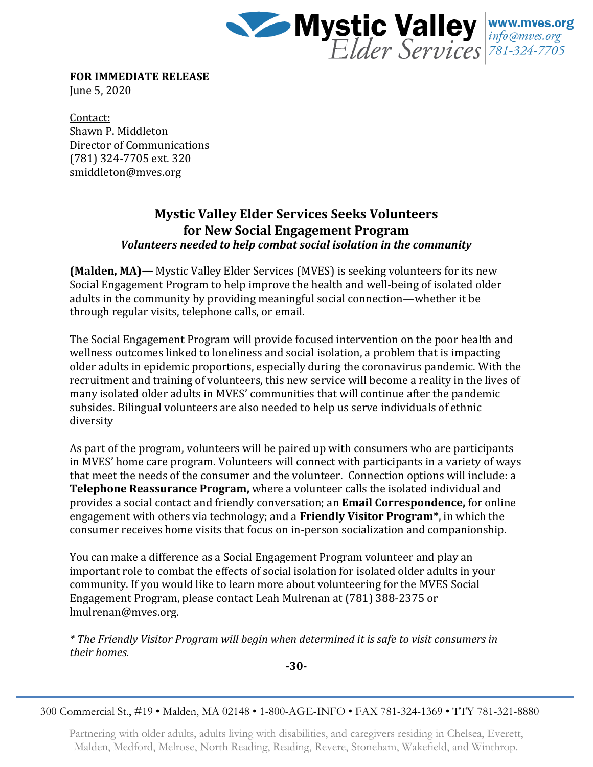

**FOR IMMEDIATE RELEASE** June 5, 2020

Contact: Shawn P. Middleton Director of Communications (781) 324-7705 ext. 320 smiddleton@mves.org

## **Mystic Valley Elder Services Seeks Volunteers for New Social Engagement Program**  *Volunteers needed to help combat social isolation in the community*

**(Malden, MA)—** Mystic Valley Elder Services (MVES) is seeking volunteers for its new Social Engagement Program to help improve the health and well-being of isolated older adults in the community by providing meaningful social connection—whether it be through regular visits, telephone calls, or email.

The Social Engagement Program will provide focused intervention on the poor health and wellness outcomes linked to loneliness and social isolation, a problem that is impacting older adults in epidemic proportions, especially during the coronavirus pandemic. With the recruitment and training of volunteers, this new service will become a reality in the lives of many isolated older adults in MVES' communities that will continue after the pandemic subsides. Bilingual volunteers are also needed to help us serve individuals of ethnic diversity

As part of the program, volunteers will be paired up with consumers who are participants in MVES' home care program. Volunteers will connect with participants in a variety of ways that meet the needs of the consumer and the volunteer. Connection options will include: a **Telephone Reassurance Program,** where a volunteer calls the isolated individual and provides a social contact and friendly conversation; an **Email Correspondence,** for online engagement with others via technology; and a **Friendly Visitor Program\***, in which the consumer receives home visits that focus on in-person socialization and companionship.

You can make a difference as a Social Engagement Program volunteer and play an important role to combat the effects of social isolation for isolated older adults in your community. If you would like to learn more about volunteering for the MVES Social Engagement Program, please contact Leah Mulrenan at (781) 388-2375 or lmulrenan@mves.org.

*\* The Friendly Visitor Program will begin when determined it is safe to visit consumers in their homes.*

**-30-**

300 Commercial St., #19 • Malden, MA 02148 • 1-800-AGE-INFO • FAX 781-324-1369 • TTY 781-321-8880

Partnering with older adults, adults living with disabilities, and caregivers residing in Chelsea, Everett, Malden, Medford, Melrose, North Reading, Reading, Revere, Stoneham, Wakefield, and Winthrop.